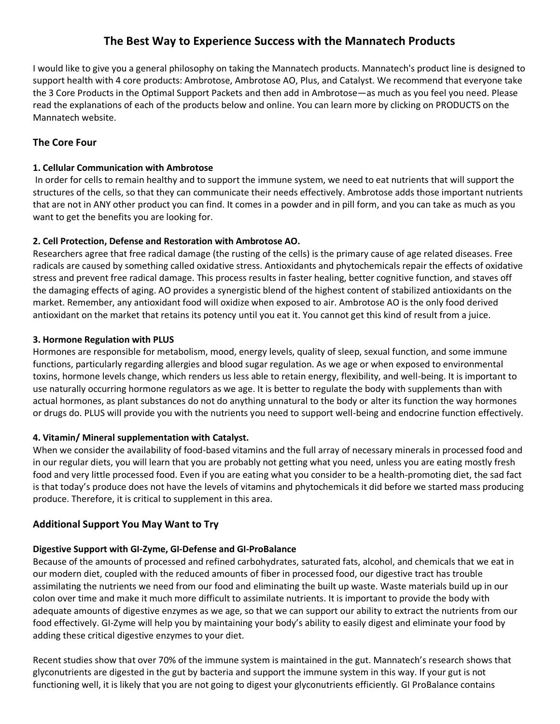# **The Best Way to Experience Success with the Mannatech Products**

I would like to give you a general philosophy on taking the Mannatech products. Mannatech's product line is designed to support health with 4 core products: Ambrotose, Ambrotose AO, Plus, and Catalyst. We recommend that everyone take the 3 Core Products in the Optimal Support Packets and then add in Ambrotose—as much as you feel you need. Please read the explanations of each of the products below and online. You can learn more by clicking on PRODUCTS on the Mannatech website.

### **The Core Four**

#### **1. Cellular Communication with Ambrotose**

In order for cells to remain healthy and to support the immune system, we need to eat nutrients that will support the structures of the cells, so that they can communicate their needs effectively. Ambrotose adds those important nutrients that are not in ANY other product you can find. It comes in a powder and in pill form, and you can take as much as you want to get the benefits you are looking for.

### **2. Cell Protection, Defense and Restoration with Ambrotose AO.**

Researchers agree that free radical damage (the rusting of the cells) is the primary cause of age related diseases. Free radicals are caused by something called oxidative stress. Antioxidants and phytochemicals repair the effects of oxidative stress and prevent free radical damage. This process results in faster healing, better cognitive function, and staves off the damaging effects of aging. AO provides a synergistic blend of the highest content of stabilized antioxidants on the market. Remember, any antioxidant food will oxidize when exposed to air. Ambrotose AO is the only food derived antioxidant on the market that retains its potency until you eat it. You cannot get this kind of result from a juice.

#### **3. Hormone Regulation with PLUS**

Hormones are responsible for metabolism, mood, energy levels, quality of sleep, sexual function, and some immune functions, particularly regarding allergies and blood sugar regulation. As we age or when exposed to environmental toxins, hormone levels change, which renders us less able to retain energy, flexibility, and well-being. It is important to use naturally occurring hormone regulators as we age. It is better to regulate the body with supplements than with actual hormones, as plant substances do not do anything unnatural to the body or alter its function the way hormones or drugs do. PLUS will provide you with the nutrients you need to support well-being and endocrine function effectively.

### **4. Vitamin/ Mineral supplementation with Catalyst.**

When we consider the availability of food-based vitamins and the full array of necessary minerals in processed food and in our regular diets, you will learn that you are probably not getting what you need, unless you are eating mostly fresh food and very little processed food. Even if you are eating what you consider to be a health-promoting diet, the sad fact is that today's produce does not have the levels of vitamins and phytochemicals it did before we started mass producing produce. Therefore, it is critical to supplement in this area.

### **Additional Support You May Want to Try**

### **Digestive Support with GI-Zyme, GI-Defense and GI-ProBalance**

Because of the amounts of processed and refined carbohydrates, saturated fats, alcohol, and chemicals that we eat in our modern diet, coupled with the reduced amounts of fiber in processed food, our digestive tract has trouble assimilating the nutrients we need from our food and eliminating the built up waste. Waste materials build up in our colon over time and make it much more difficult to assimilate nutrients. It is important to provide the body with adequate amounts of digestive enzymes as we age, so that we can support our ability to extract the nutrients from our food effectively. GI-Zyme will help you by maintaining your body's ability to easily digest and eliminate your food by adding these critical digestive enzymes to your diet.

Recent studies show that over 70% of the immune system is maintained in the gut. Mannatech's research shows that glyconutrients are digested in the gut by bacteria and support the immune system in this way. If your gut is not functioning well, it is likely that you are not going to digest your glyconutrients efficiently. GI ProBalance contains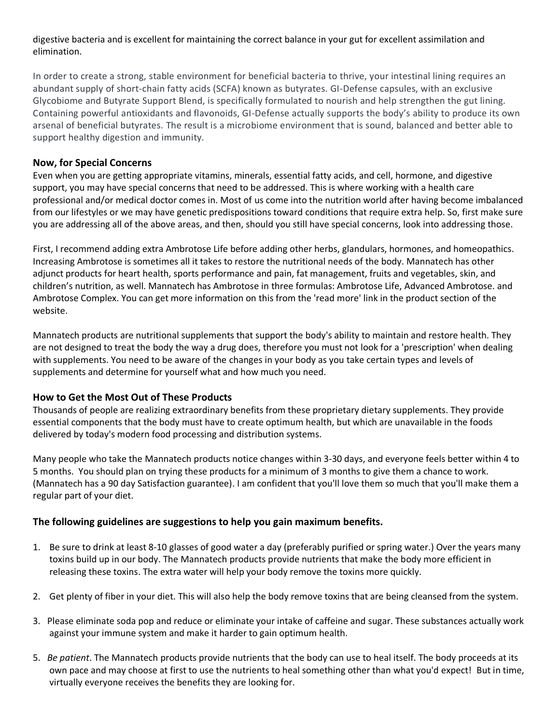### digestive bacteria and is excellent for maintaining the correct balance in your gut for excellent assimilation and elimination.

In order to create a strong, stable environment for beneficial bacteria to thrive, your intestinal lining requires an abundant supply of short-chain fatty acids (SCFA) known as butyrates. GI-Defense capsules, with an exclusive Glycobiome and Butyrate Support Blend, is specifically formulated to nourish and help strengthen the gut lining. Containing powerful antioxidants and flavonoids, GI-Defense actually supports the body's ability to produce its own arsenal of beneficial butyrates. The result is a microbiome environment that is sound, balanced and better able to support healthy digestion and immunity.

### **Now, for Special Concerns**

Even when you are getting appropriate vitamins, minerals, essential fatty acids, and cell, hormone, and digestive support, you may have special concerns that need to be addressed. This is where working with a health care professional and/or medical doctor comes in. Most of us come into the nutrition world after having become imbalanced from our lifestyles or we may have genetic predispositions toward conditions that require extra help. So, first make sure you are addressing all of the above areas, and then, should you still have special concerns, look into addressing those.

First, I recommend adding extra Ambrotose Life before adding other herbs, glandulars, hormones, and homeopathics. Increasing Ambrotose is sometimes all it takes to restore the nutritional needs of the body. Mannatech has other adjunct products for heart health, sports performance and pain, fat management, fruits and vegetables, skin, and children's nutrition, as well. Mannatech has Ambrotose in three formulas: Ambrotose Life, Advanced Ambrotose. and Ambrotose Complex. You can get more information on this from the 'read more' link in the product section of the website.

Mannatech products are nutritional supplements that support the body's ability to maintain and restore health. They are not designed to treat the body the way a drug does, therefore you must not look for a 'prescription' when dealing with supplements. You need to be aware of the changes in your body as you take certain types and levels of supplements and determine for yourself what and how much you need.

## **How to Get the Most Out of These Products**

Thousands of people are realizing extraordinary benefits from these proprietary dietary supplements. They provide essential components that the body must have to create optimum health, but which are unavailable in the foods delivered by today's modern food processing and distribution systems.

Many people who take the Mannatech products notice changes within 3-30 days, and everyone feels better within 4 to 5 months. You should plan on trying these products for a minimum of 3 months to give them a chance to work. (Mannatech has a 90 day Satisfaction guarantee). I am confident that you'll love them so much that you'll make them a regular part of your diet.

### **The following guidelines are suggestions to help you gain maximum benefits.**

- 1. Be sure to drink at least 8-10 glasses of good water a day (preferably purified or spring water.) Over the years many toxins build up in our body. The Mannatech products provide nutrients that make the body more efficient in releasing these toxins. The extra water will help your body remove the toxins more quickly.
- 2. Get plenty of fiber in your diet. This will also help the body remove toxins that are being cleansed from the system.
- 3. Please eliminate soda pop and reduce or eliminate your intake of caffeine and sugar. These substances actually work against your immune system and make it harder to gain optimum health.
- 5. *Be patient*. The Mannatech products provide nutrients that the body can use to heal itself. The body proceeds at its own pace and may choose at first to use the nutrients to heal something other than what you'd expect! But in time, virtually everyone receives the benefits they are looking for.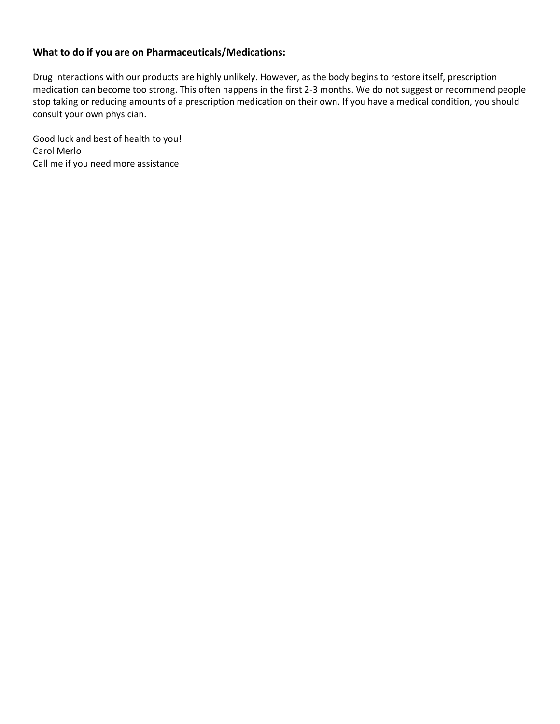## **What to do if you are on Pharmaceuticals/Medications:**

Drug interactions with our products are highly unlikely. However, as the body begins to restore itself, prescription medication can become too strong. This often happens in the first 2-3 months. We do not suggest or recommend people stop taking or reducing amounts of a prescription medication on their own. If you have a medical condition, you should consult your own physician.

Good luck and best of health to you! Carol Merlo Call me if you need more assistance